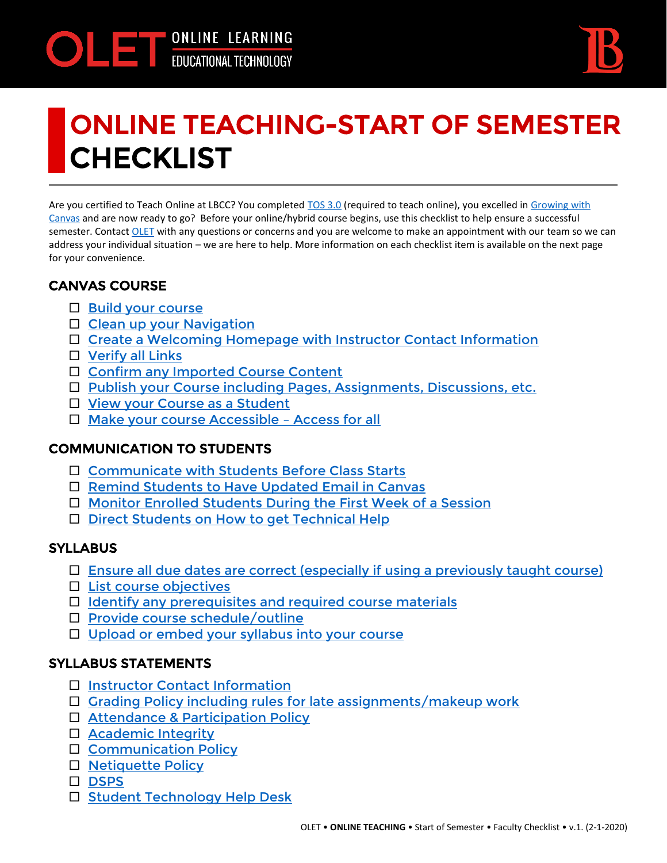

# ONLINE TEACHING-START OF SEMESTER CHECKLIST

Are you certified to Teach Online at LBCC? You completed [TOS 3.0](https://lbcc.instructure.com/courses/34128/assignments/syllabus) (required to teach online), you excelled i[n Growing with](https://lbcc.instructure.com/courses/37840)  [Canvas](https://lbcc.instructure.com/courses/37840) and are now ready to go? Before your online/hybrid course begins, use this checklist to help ensure a successful semester. Contact [OLET](https://lbcc.instructure.com/courses/29893/pages/olet-team) with any questions or concerns and you are welcome to make an appointment with our team so we can address your individual situation – we are here to help. More information on each checklist item is available on the next page for your convenience.

## CANVAS COURSE

- $\Box$  [Build your course](#page-1-0)
- $\Box$  [Clean up your Navigation](#page-1-1)
- □ [Create a Welcoming Homepage with Instructor Contact Information](#page-1-2)
- $\Box$  [Verify all Links](#page-1-3)
- □ [Confirm any Imported Course Content](#page-1-4)
- □ [Publish your Course including Pages, Assignments, Discussions, etc.](#page-1-5)
- □ [View your Course as a Student](#page-1-6)
- □ [Make your course Accessible](#page-1-7)  Access for all

#### COMMUNICATION TO STUDENTS

- □ [Communicate with Students Before Class Starts](#page-2-0)
- □ [Remind Students to Have Updated Email in Canvas](#page-2-1)
- □ [Monitor Enrolled Students During the First Week of a Session](#page-2-2)
- □ [Direct Students on How to get Technical Help](#page-2-3)

## **SYLLABUS**

- $\Box$  [Ensure all due dates are correct \(especially if using a previously taught course\)](#page-2-4)
- $\Box$  [List course objectives](#page-2-5)
- $\Box$  [Identify any prerequisites and required course materials](#page-2-6)
- $\square$  [Provide course schedule/outline](#page-2-7)
- □ [Upload or embed your syllabus into your course](#page-2-8)

#### SYLLABUS STATEMENTS

- □ [Instructor Contact Information](#page-3-0)
- $\Box$  [Grading Policy including rules for late assignments/makeup work](#page-3-1)
- □ [Attendance & Participation Policy](#page-3-2)
- □ [Academic Integrity](#page-3-3)
- □ [Communication Policy](#page-3-4)
- □ [Netiquette Policy](#page-3-5)
- [DSPS](#page-3-6)
- □ [Student Technology Help Desk](#page-3-7)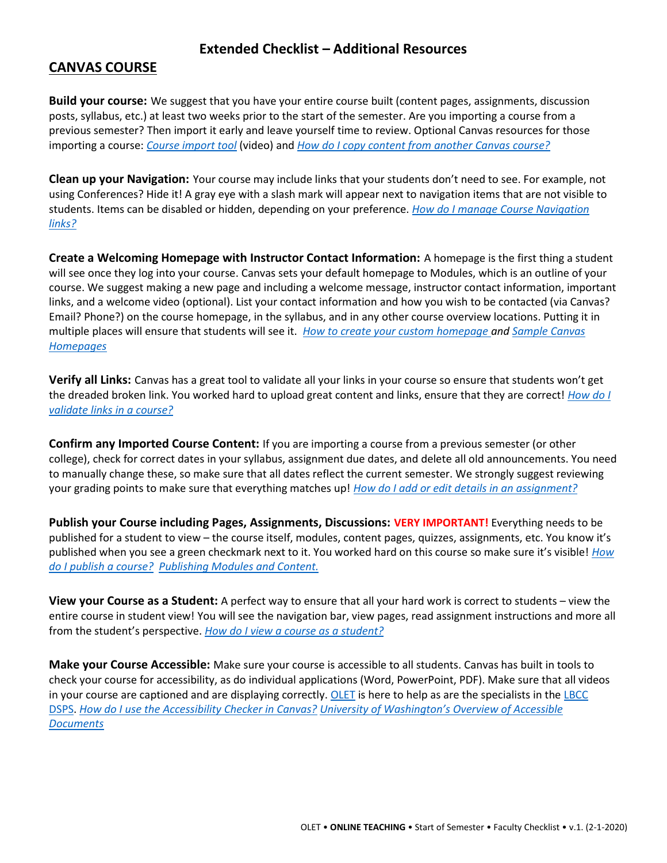#### **Extended Checklist – Additional Resources**

#### <span id="page-1-0"></span>**CANVAS COURSE**

**Build your course:** We suggest that you have your entire course built (content pages, assignments, discussion posts, syllabus, etc.) at least two weeks prior to the start of the semester. Are you importing a course from a previous semester? Then import it early and leave yourself time to review. Optional Canvas resources for those importing a course: *[Course import tool](https://lbcc.instructure.com/courses/22462/pages/step-22-course-import-tool)* (video) and *[How do I copy content from another Canvas course?](https://community.canvaslms.com/docs/DOC-12935)*

<span id="page-1-1"></span>**Clean up your Navigation:** Your course may include links that your students don't need to see. For example, not using Conferences? Hide it! A gray eye with a slash mark will appear next to navigation items that are not visible to students. Items can be disabled or hidden, depending on your preference. *[How do I manage Course Navigation](https://community.canvaslms.com/docs/DOC-12933-415257079)  [links?](https://community.canvaslms.com/docs/DOC-12933-415257079)*

<span id="page-1-2"></span>**Create a Welcoming Homepage with Instructor Contact Information:** A homepage is the first thing a student will see once they log into your course. Canvas sets your default homepage to Modules, which is an outline of your course. We suggest making a new page and including a welcome message, instructor contact information, important links, and a welcome video (optional). List your contact information and how you wish to be contacted (via Canvas? Email? Phone?) on the course homepage, in the syllabus, and in any other course overview locations. Putting it in multiple places will ensure that students will see it. *[How to create your custom homepage a](https://lbcc.instructure.com/courses/26516/pages/creating-your-custom-homepage?module_item_id=100682)nd [Sample Canvas](https://canvas.humboldt.edu/courses/4/pages/sample-canvas-front-page-with-instructions)  [Homepages](https://canvas.humboldt.edu/courses/4/pages/sample-canvas-front-page-with-instructions)*

<span id="page-1-3"></span>**Verify all Links:** Canvas has a great tool to validate all your links in your course so ensure that students won't get the dreaded broken link. You worked hard to upload great content and links, ensure that they are correct! *[How do I](https://community.canvaslms.com/docs/DOC-12770)  [validate links in a course?](https://community.canvaslms.com/docs/DOC-12770)*

<span id="page-1-4"></span>**Confirm any Imported Course Content:** If you are importing a course from a previous semester (or other college), check for correct dates in your syllabus, assignment due dates, and delete all old announcements. You need to manually change these, so make sure that all dates reflect the current semester. We strongly suggest reviewing your grading points to make sure that everything matches up! *[How do I add or edit details in an assignment?](https://community.canvaslms.com/docs/DOC-10113-415241285)*

<span id="page-1-5"></span>**Publish your Course including Pages, Assignments, Discussions: VERY IMPORTANT!** Everything needs to be published for a student to view – the course itself, modules, content pages, quizzes, assignments, etc. You know it's published when you see a green checkmark next to it. You worked hard on this course so make sure it's visible! *[How](https://community.canvaslms.com/docs/DOC-13030-415257126)  [do I publish a course?](https://community.canvaslms.com/docs/DOC-13030-415257126) [Publishing Modules and Content.](https://canvas.cornell.edu/courses/1848/pages/publishing-modules-and-content)*

<span id="page-1-6"></span>**View your Course as a Student:** A perfect way to ensure that all your hard work is correct to students – view the entire course in student view! You will see the navigation bar, view pages, read assignment instructions and more all from the student's perspective. *[How do I view a course as a student?](https://community.canvaslms.com/docs/DOC-13122-415261153)*

<span id="page-1-7"></span>**Make your Course Accessible:** Make sure your course is accessible to all students. Canvas has built in tools to check your course for accessibility, as do individual applications (Word, PowerPoint, PDF). Make sure that all videos in your course are captioned and are displaying correctly[. OLET](https://lbcc.instructure.com/courses/29893/pages/olet-team) is here to help as are the specialists in the LBCC [DSPS.](https://www.lbcc.edu/disabled-student-services) *[How do I use the Accessibility Checker in Canvas?](https://community.canvaslms.com/docs/DOC-13345-4152808104) [University of Washington's Overview of Accessible](https://www.washington.edu/accessibility/documents/overview/)  [Documents](https://www.washington.edu/accessibility/documents/overview/)*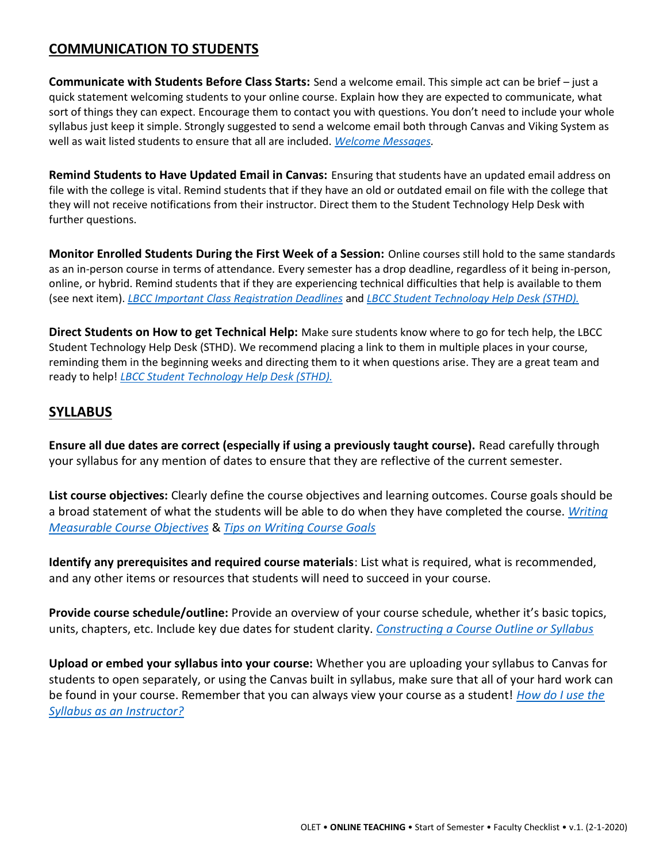## **COMMUNICATION TO STUDENTS**

<span id="page-2-0"></span>**Communicate with Students Before Class Starts:** Send a welcome email. This simple act can be brief – just a quick statement welcoming students to your online course. Explain how they are expected to communicate, what sort of things they can expect. Encourage them to contact you with questions. You don't need to include your whole syllabus just keep it simple. Strongly suggested to send a welcome email both through Canvas and Viking System as well as wait listed students to ensure that all are included. *[Welcome Messages.](https://topr.online.ucf.edu/welcome-message/)*

<span id="page-2-1"></span>**Remind Students to Have Updated Email in Canvas:** Ensuring that students have an updated email address on file with the college is vital. Remind students that if they have an old or outdated email on file with the college that they will not receive notifications from their instructor. Direct them to the Student Technology Help Desk with further questions.

<span id="page-2-2"></span>**Monitor Enrolled Students During the First Week of a Session:** Online courses still hold to the same standards as an in-person course in terms of attendance. Every semester has a drop deadline, regardless of it being in-person, online, or hybrid. Remind students that if they are experiencing technical difficulties that help is available to them (see next item). *[LBCC Important Class Registration Deadlines](https://www.lbcc.edu/pod/important-class-registration-deadlines)* and *[LBCC Student Technology Help Desk \(STHD\).](https://lbcc.instructure.com/courses/30045)*

<span id="page-2-3"></span>**Direct Students on How to get Technical Help:** Make sure students know where to go for tech help, the LBCC Student Technology Help Desk (STHD). We recommend placing a link to them in multiple places in your course, reminding them in the beginning weeks and directing them to it when questions arise. They are a great team and ready to help! *[LBCC Student Technology Help Desk \(STHD\).](https://lbcc.instructure.com/courses/30045)*

#### <span id="page-2-4"></span>**SYLLABUS**

**Ensure all due dates are correct (especially if using a previously taught course).** Read carefully through your syllabus for any mention of dates to ensure that they are reflective of the current semester.

<span id="page-2-5"></span>**List course objectives:** Clearly define the course objectives and learning outcomes. Course goals should be a broad statement of what the students will be able to do when they have completed the course. *[Writing](https://teaching.uncc.edu/teaching-guides/course-design/writing-measurable-course-objectives)  [Measurable Course Objectives](https://teaching.uncc.edu/teaching-guides/course-design/writing-measurable-course-objectives)* & *[Tips on Writing Course Goals](http://www.celt.iastate.edu/teaching/preparing-to-teach/tips-on-writing-course-goalslearning-outcomes-and-measureable-learning-objectives/)*

<span id="page-2-6"></span>**Identify any prerequisites and required course materials**: List what is required, what is recommended, and any other items or resources that students will need to succeed in your course.

<span id="page-2-7"></span>**Provide course schedule/outline:** Provide an overview of your course schedule, whether it's basic topics, units, chapters, etc. Include key due dates for student clarity. *[Constructing a Course Outline or Syllabus](https://www.uleth.ca/teachingcentre/constructing-course-outline-or-syllabus)*

<span id="page-2-8"></span>**Upload or embed your syllabus into your course:** Whether you are uploading your syllabus to Canvas for students to open separately, or using the Canvas built in syllabus, make sure that all of your hard work can be found in your course. Remember that you can always view your course as a student! *[How do I use the](https://community.canvaslms.com/docs/DOC-12831-415255577)  [Syllabus as an Instructor?](https://community.canvaslms.com/docs/DOC-12831-415255577)*